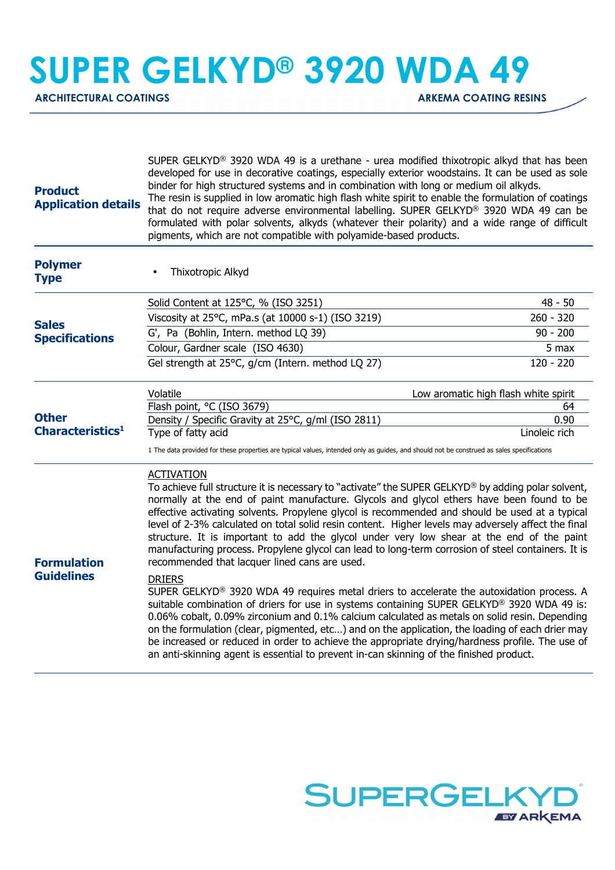**SUPER GELKYD® 3920 WDA 49**

ARCHITECTURAL COATINGS **ARKEMA COATING RESINS** 

| <b>Product</b><br><b>Application details</b> | SUPER GELKYD <sup>®</sup> 3920 WDA 49 is a urethane - urea modified thixotropic alkyd that has been<br>developed for use in decorative coatings, especially exterior woodstains. It can be used as sole<br>binder for high structured systems and in combination with long or medium oil alkyds.<br>The resin is supplied in low aromatic high flash white spirit to enable the formulation of coatings<br>that do not require adverse environmental labelling. SUPER GELKYD® 3920 WDA 49 can be<br>formulated with polar solvents, alkyds (whatever their polarity) and a wide range of difficult<br>pigments, which are not compatible with polyamide-based products.                                                                                                                                                                                                                                                                                                                                                                                                                                                                                                                                                                                                                                                  |               |
|----------------------------------------------|--------------------------------------------------------------------------------------------------------------------------------------------------------------------------------------------------------------------------------------------------------------------------------------------------------------------------------------------------------------------------------------------------------------------------------------------------------------------------------------------------------------------------------------------------------------------------------------------------------------------------------------------------------------------------------------------------------------------------------------------------------------------------------------------------------------------------------------------------------------------------------------------------------------------------------------------------------------------------------------------------------------------------------------------------------------------------------------------------------------------------------------------------------------------------------------------------------------------------------------------------------------------------------------------------------------------------|---------------|
| <b>Polymer</b><br><b>Type</b>                | Thixotropic Alkyd                                                                                                                                                                                                                                                                                                                                                                                                                                                                                                                                                                                                                                                                                                                                                                                                                                                                                                                                                                                                                                                                                                                                                                                                                                                                                                        |               |
| <b>Sales</b><br><b>Specifications</b>        | Solid Content at 125°C, % (ISO 3251)                                                                                                                                                                                                                                                                                                                                                                                                                                                                                                                                                                                                                                                                                                                                                                                                                                                                                                                                                                                                                                                                                                                                                                                                                                                                                     | $48 - 50$     |
|                                              | Viscosity at 25°C, mPa.s (at 10000 s-1) (ISO 3219)                                                                                                                                                                                                                                                                                                                                                                                                                                                                                                                                                                                                                                                                                                                                                                                                                                                                                                                                                                                                                                                                                                                                                                                                                                                                       | $260 - 320$   |
|                                              | G', Pa (Bohlin, Intern. method LQ 39)                                                                                                                                                                                                                                                                                                                                                                                                                                                                                                                                                                                                                                                                                                                                                                                                                                                                                                                                                                                                                                                                                                                                                                                                                                                                                    | $90 - 200$    |
|                                              | Colour, Gardner scale (ISO 4630)                                                                                                                                                                                                                                                                                                                                                                                                                                                                                                                                                                                                                                                                                                                                                                                                                                                                                                                                                                                                                                                                                                                                                                                                                                                                                         | 5 max         |
|                                              | Gel strength at 25°C, g/cm (Intern. method LQ 27)                                                                                                                                                                                                                                                                                                                                                                                                                                                                                                                                                                                                                                                                                                                                                                                                                                                                                                                                                                                                                                                                                                                                                                                                                                                                        | $120 - 220$   |
|                                              | Volatile<br>Low aromatic high flash white spirit                                                                                                                                                                                                                                                                                                                                                                                                                                                                                                                                                                                                                                                                                                                                                                                                                                                                                                                                                                                                                                                                                                                                                                                                                                                                         |               |
|                                              | Flash point, °C (ISO 3679)                                                                                                                                                                                                                                                                                                                                                                                                                                                                                                                                                                                                                                                                                                                                                                                                                                                                                                                                                                                                                                                                                                                                                                                                                                                                                               | 64            |
| <b>Other</b><br>Characteristics <sup>1</sup> | Density / Specific Gravity at 25°C, g/ml (ISO 2811)                                                                                                                                                                                                                                                                                                                                                                                                                                                                                                                                                                                                                                                                                                                                                                                                                                                                                                                                                                                                                                                                                                                                                                                                                                                                      | 0.90          |
|                                              | Type of fatty acid<br>1 The data provided for these properties are typical values, intended only as guides, and should not be construed as sales specifications                                                                                                                                                                                                                                                                                                                                                                                                                                                                                                                                                                                                                                                                                                                                                                                                                                                                                                                                                                                                                                                                                                                                                          | Linoleic rich |
| <b>Formulation</b><br><b>Guidelines</b>      | <b>ACTIVATION</b><br>To achieve full structure it is necessary to "activate" the SUPER GELKYD® by adding polar solvent,<br>normally at the end of paint manufacture. Glycols and glycol ethers have been found to be<br>effective activating solvents. Propylene glycol is recommended and should be used at a typical<br>level of 2-3% calculated on total solid resin content. Higher levels may adversely affect the final<br>structure. It is important to add the glycol under very low shear at the end of the paint<br>manufacturing process. Propylene glycol can lead to long-term corrosion of steel containers. It is<br>recommended that lacquer lined cans are used.<br><b>DRIERS</b><br>SUPER GELKYD <sup>®</sup> 3920 WDA 49 requires metal driers to accelerate the autoxidation process. A<br>suitable combination of driers for use in systems containing SUPER GELKYD <sup>®</sup> 3920 WDA 49 is:<br>0.06% cobalt, 0.09% zirconium and 0.1% calcium calculated as metals on solid resin. Depending<br>on the formulation (clear, pigmented, etc) and on the application, the loading of each drier may<br>be increased or reduced in order to achieve the appropriate drying/hardness profile. The use of<br>an anti-skinning agent is essential to prevent in-can skinning of the finished product. |               |